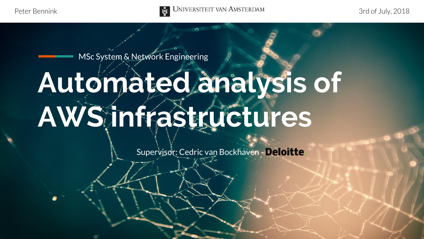

MSc System & Network Engineering

### **Automated analysis of AWS infrastructures**

Supervisor: Cedric van Bockhaven - Deloitte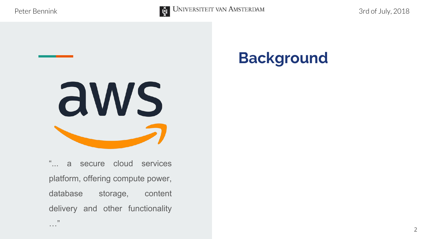…"



#### **Background**



"... a secure cloud services platform, offering compute power, database storage, content delivery and other functionality

2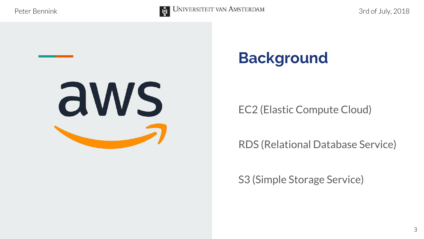

#### **Background**

EC2 (Elastic Compute Cloud)

RDS (Relational Database Service)

S3 (Simple Storage Service)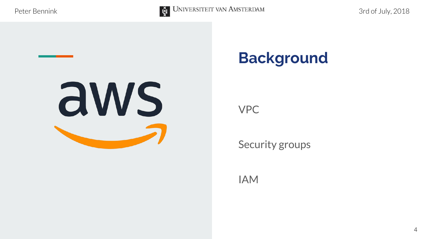



VPC

Security groups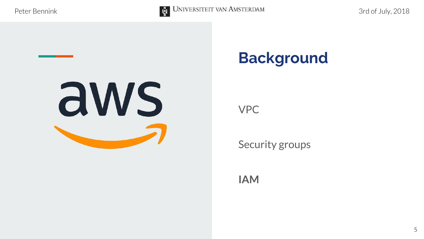

#### **Background**

VPC

Security groups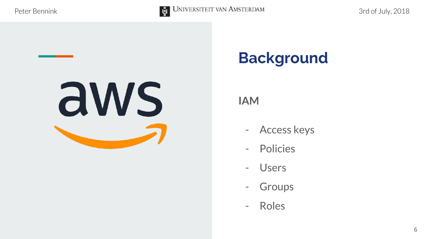



- Access keys
- Policies
- Users
- Groups
- Roles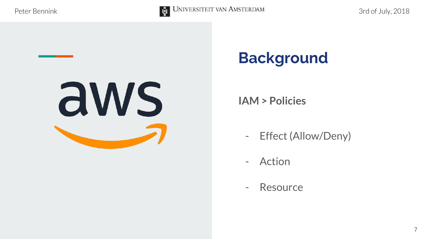



**IAM > Policies**

- Effect (Allow/Deny)
- Action
- Resource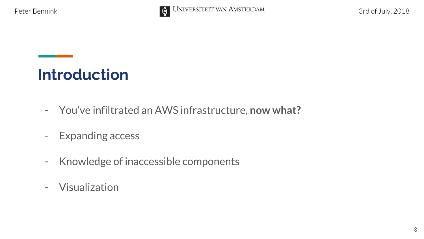



- **-** You've infiltrated an AWS infrastructure, **now what?**
- Expanding access
- Knowledge of inaccessible components
- Visualization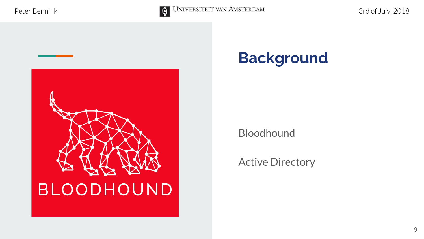



Bloodhound

Active Directory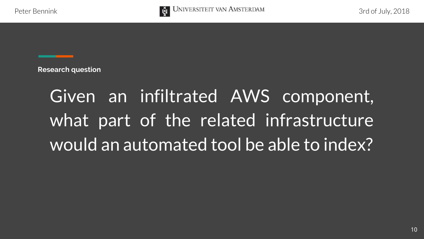

**Research question**

### Given an infiltrated AWS component, what part of the related infrastructure would an automated tool be able to index?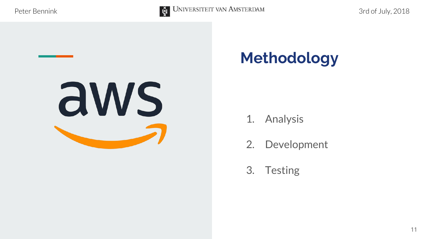

### **Methodology**

- 1. Analysis
- 2. Development
- 3. Testing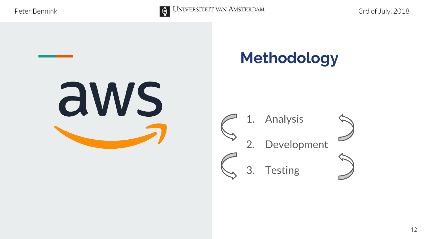

#### **Methodology**

3. Testing





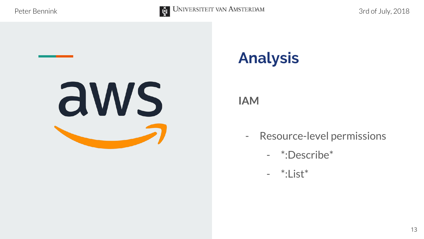



#### **Analysis**

- Resource-level permissions
	- \*:Describe\*
	- \*:List\*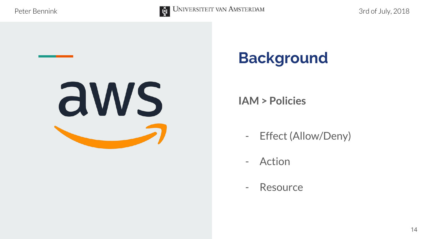



**IAM > Policies**

- Effect (Allow/Deny)
- Action
- Resource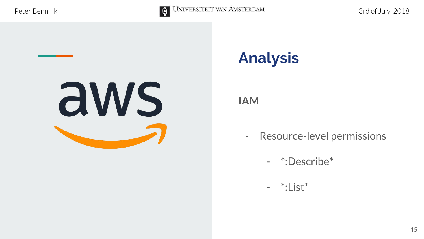

### **Analysis**

- Resource-level permissions
	- \*:Describe\*
	- \*:List\*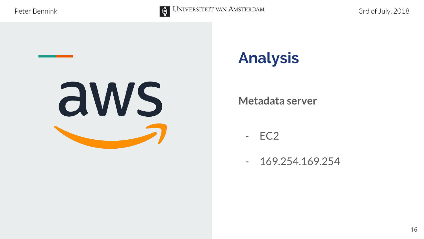

#### **Analysis**

#### **Metadata server**

- EC2

- 169.254.169.254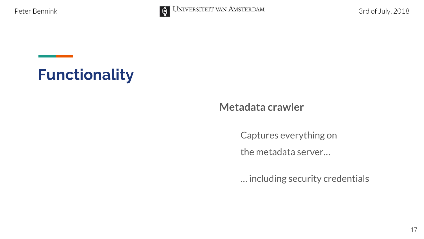



#### **Metadata crawler**

Captures everything on

the metadata server…

… including security credentials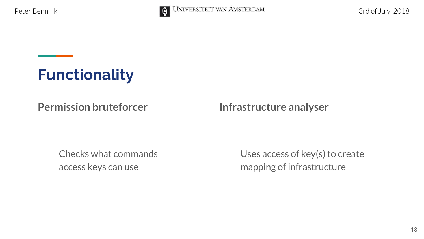



#### **Permission bruteforcer**

Checks what commands access keys can use

Uses access of key(s) to create mapping of infrastructure

**Infrastructure analyser**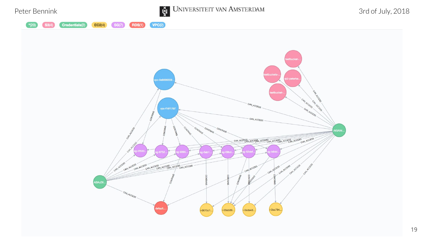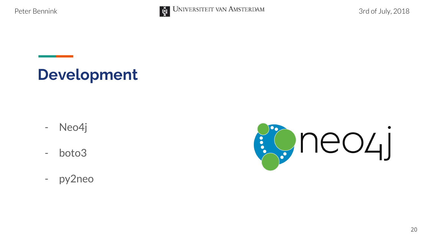

**Development**

- Neo4j
- boto3
- py2neo

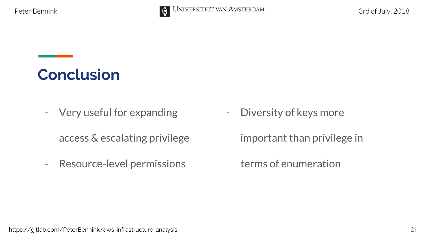

**Conclusion**

- Very useful for expanding

access & escalating privilege

- Resource-level permissions

- Diversity of keys more

important than privilege in

terms of enumeration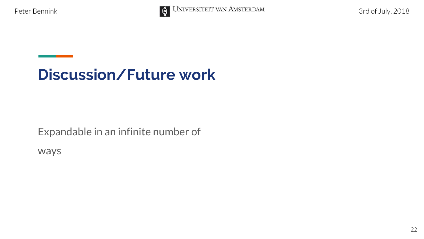

#### **Discussion/Future work**

Expandable in an infinite number of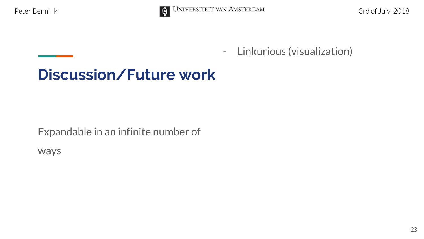

#### **Discussion/Future work**

Expandable in an infinite number of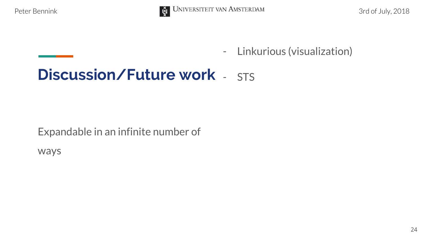

#### **Discussion/Future work** - STS

Expandable in an infinite number of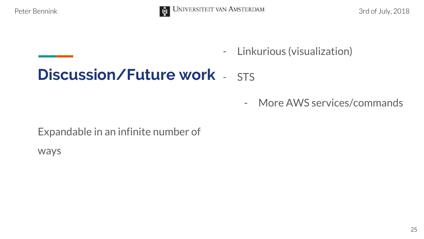

#### **Discussion/Future work** - STS

- More AWS services/commands

Expandable in an infinite number of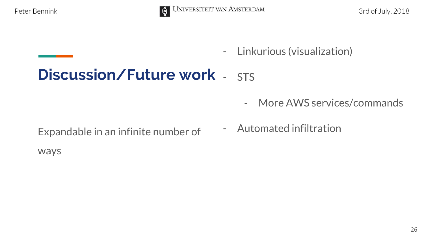

#### **Discussion/Future work** - STS

- More AWS services/commands
- Expandable in an infinite number of The Automated infiltration
-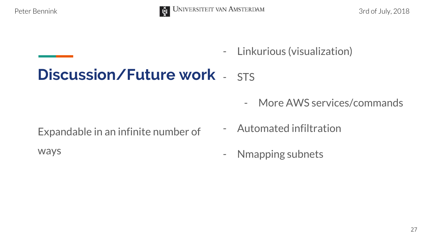

#### **Discussion/Future work** - STS

- More AWS services/commands

- Expandable in an infinite number of
- ways
- Automated infiltration
- Nmapping subnets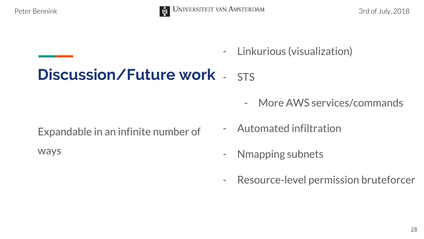

#### **Discussion/Future work** - STS

- More AWS services/commands

Expandable in an infinite number of

- Automated infiltration
- Nmapping subnets
- Resource-level permission bruteforcer